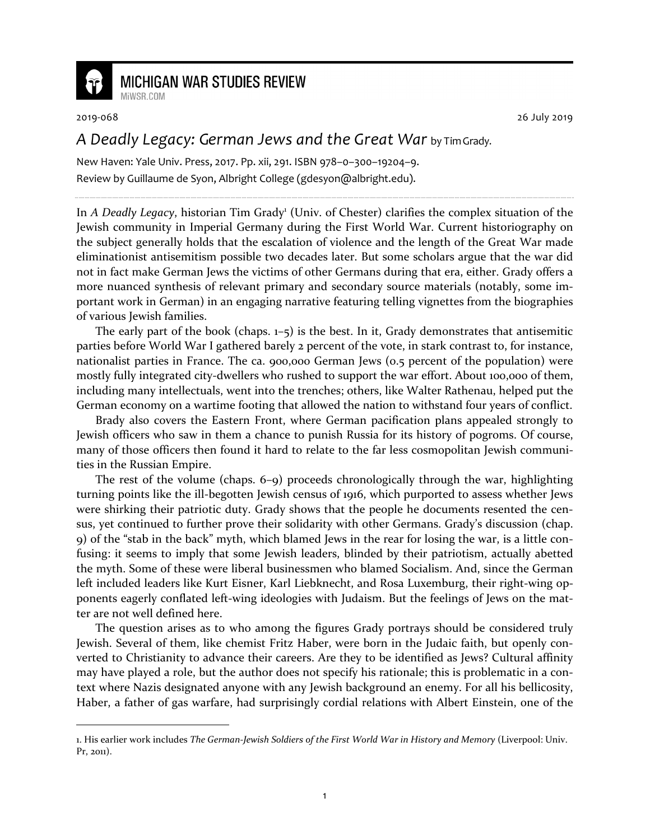

## **MICHIGAN WAR STUDIES REVIEW** MiWSR.COM

1

2019-068 26 July 2019

## *A Deadly Legacy: German Jews and the Great War* by Tim Grady.

New Haven: Yale Univ. Press, 2017. Pp. xii, 291. ISBN 978–0–300–19204–9. Review by Guillaume de Syon, Albright College (gdesyon@albright.edu).

In *A Deadly Legacy*, historian Tim Grady<sup>1</sup> (Univ. of Chester) clarifies the complex situation of the Jewish community in Imperial Germany during the First World War. Current historiography on the subject generally holds that the escalation of violence and the length of the Great War made eliminationist antisemitism possible two decades later. But some scholars argue that the war did not in fact make German Jews the victims of other Germans during that era, either. Grady offers a more nuanced synthesis of relevant primary and secondary source materials (notably, some important work in German) in an engaging narrative featuring telling vignettes from the biographies of various Jewish families.

The early part of the book (chaps.  $1-5$ ) is the best. In it, Grady demonstrates that antisemitic parties before World War I gathered barely 2 percent of the vote, in stark contrast to, for instance, nationalist parties in France. The ca. 900,000 German Jews (0.5 percent of the population) were mostly fully integrated city-dwellers who rushed to support the war effort. About 100,000 of them, including many intellectuals, went into the trenches; others, like Walter Rathenau, helped put the German economy on a wartime footing that allowed the nation to withstand four years of conflict.

Brady also covers the Eastern Front, where German pacification plans appealed strongly to Jewish officers who saw in them a chance to punish Russia for its history of pogroms. Of course, many of those officers then found it hard to relate to the far less cosmopolitan Jewish communities in the Russian Empire.

The rest of the volume (chaps. 6–9) proceeds chronologically through the war, highlighting turning points like the ill-begotten Jewish census of 1916, which purported to assess whether Jews were shirking their patriotic duty. Grady shows that the people he documents resented the census, yet continued to further prove their solidarity with other Germans. Grady's discussion (chap. 9) of the "stab in the back" myth, which blamed Jews in the rear for losing the war, is a little confusing: it seems to imply that some Jewish leaders, blinded by their patriotism, actually abetted the myth. Some of these were liberal businessmen who blamed Socialism. And, since the German left included leaders like Kurt Eisner, Karl Liebknecht, and Rosa Luxemburg, their right-wing opponents eagerly conflated left-wing ideologies with Judaism. But the feelings of Jews on the matter are not well defined here.

The question arises as to who among the figures Grady portrays should be considered truly Jewish. Several of them, like chemist Fritz Haber, were born in the Judaic faith, but openly converted to Christianity to advance their careers. Are they to be identified as Jews? Cultural affinity may have played a role, but the author does not specify his rationale; this is problematic in a context where Nazis designated anyone with any Jewish background an enemy. For all his bellicosity, Haber, a father of gas warfare, had surprisingly cordial relations with Albert Einstein, one of the

<sup>1.</sup> His earlier work includes *The German-Jewish Soldiers of the First World War in History and Memory* (Liverpool: Univ. Pr, 2011).